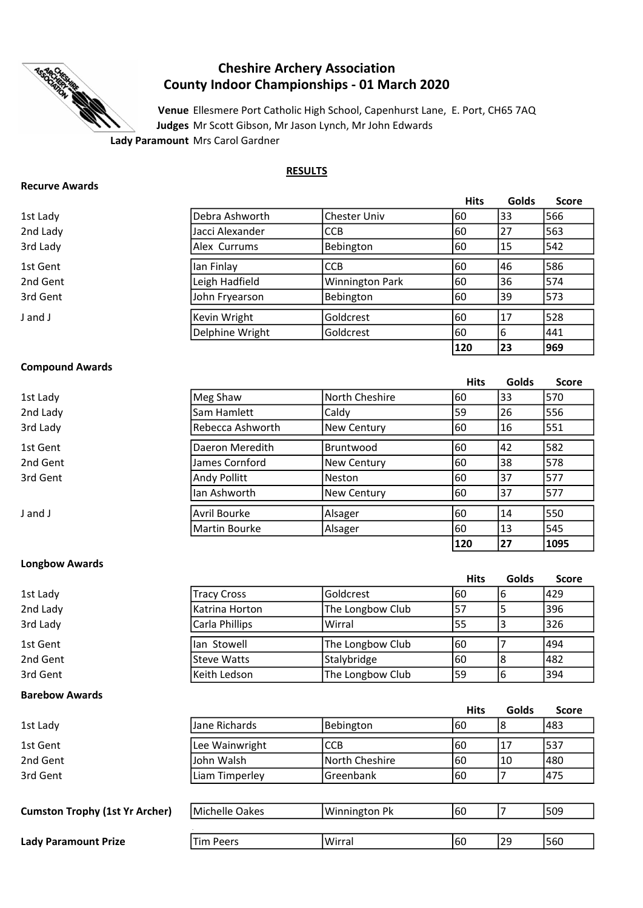

# Cheshire Archery Association County Indoor Championships - 01 March 2020

Venue Ellesmere Port Catholic High School, Capenhurst Lane, E. Port, CH65 7AQ Judges Mr Scott Gibson, Mr Jason Lynch, Mr John Edwards

# **RESULTS**

| <b>Recurve Awards</b> |  |
|-----------------------|--|
|-----------------------|--|

|          |                 |                        | <b>Hits</b> | Golds | <b>Score</b> |
|----------|-----------------|------------------------|-------------|-------|--------------|
| 1st Lady | Debra Ashworth  | <b>Chester Univ</b>    | 60          | 133   | 566          |
| 2nd Lady | Jacci Alexander | <b>CCB</b>             | 60          | 27    | 1563         |
| 3rd Lady | Alex Currums    | Bebington              | 160         | 15    | 1542         |
| 1st Gent | lan Finlay      | <b>CCB</b>             | 60          | 46    | 586          |
| 2nd Gent | Leigh Hadfield  | <b>Winnington Park</b> | 160         | 36    | 574          |
| 3rd Gent | John Fryearson  | Bebington              | 160         | 39    | 1573         |
| J and J  | Kevin Wright    | Goldcrest              | 60          | 17    | 528          |
|          | Delphine Wright | Goldcrest              | 160         | 6     | 1441         |
|          |                 |                        | 120         | 23    | 969          |

Hits Golds Score

 $|120 \t|27 \t|1095$ 

# Compound Awards

| 1st Lady | Meg Shaw         | North Cheshire | 160 | 33 | 570 |
|----------|------------------|----------------|-----|----|-----|
| 2nd Lady | Sam Hamlett      | Caldy          | 59  | 26 | 556 |
| 3rd Lady | Rebecca Ashworth | New Century    | 160 | 16 | 551 |
| 1st Gent | Daeron Meredith  | Bruntwood      | 160 | 42 | 582 |
| 2nd Gent | James Cornford   | New Century    | 160 | 38 | 578 |
| 3rd Gent | Andy Pollitt     | lNeston        | 160 | 37 | 577 |
|          | lan Ashworth     | New Century    | 160 | 37 | 577 |
| J and J  | Avril Bourke     | Alsager        | 60  | 14 | 550 |
|          | Martin Bourke    | Alsager        | 160 | 13 | 545 |

# Longbow Awards

|                       |                    |                  | <b>Hits</b> | Golds          | <b>Score</b> |
|-----------------------|--------------------|------------------|-------------|----------------|--------------|
| 1st Lady              | <b>Tracy Cross</b> | Goldcrest        | 60          | 6              | 429          |
| 2nd Lady              | Katrina Horton     | The Longbow Club | 57          | 5              | 396          |
| 3rd Lady              | Carla Phillips     | Wirral           | 55          | 3              | 326          |
| 1st Gent              | lan Stowell        | The Longbow Club | 60          | 7              | 494          |
| 2nd Gent              | <b>Steve Watts</b> | Stalybridge      | 60          | 8              | 482          |
| 3rd Gent              | Keith Ledson       | The Longbow Club | 59          | 6              | 394          |
| <b>Barebow Awards</b> |                    |                  |             |                |              |
|                       |                    |                  | <b>Hits</b> | Golds          | <b>Score</b> |
| 1st Lady              | Jane Richards      | Bebington        | 60          | 8              | 483          |
| 1st Gent              | Lee Wainwright     | <b>CCB</b>       | 60          | 17             | 537          |
| 2nd Gent              |                    |                  |             |                |              |
|                       | John Walsh         | North Cheshire   | 60          | 10             | 480          |
| 3rd Gent              | Liam Timperley     | Greenbank        | 60          | $\overline{7}$ | 475          |
|                       |                    |                  |             |                |              |

#### **Cumston Trophy (1st Yr Archer)** Michelle Oakes  $\vert$  Winnington Pk  $\vert$  60  $\vert$  7 509 . Lady Paramount Prize Tim Peers Virtual 29 560 **Winnington Pk** Tim Peers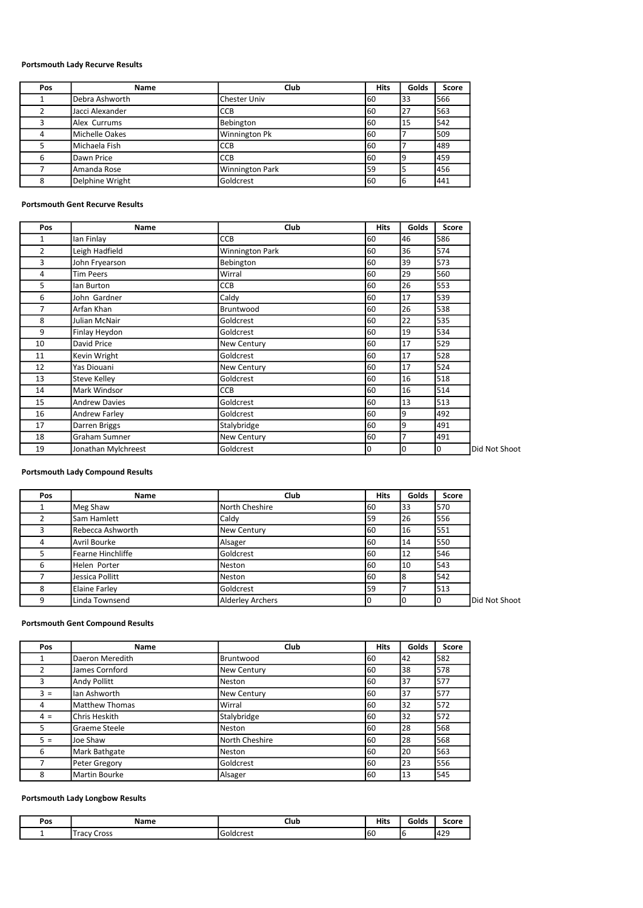# Portsmouth Lady Recurve Results

| Pos | Name            | Club                   | <b>Hits</b> | Golds | <b>Score</b> |
|-----|-----------------|------------------------|-------------|-------|--------------|
|     | Debra Ashworth  | <b>Chester Univ</b>    | 60          | 133   | 566          |
|     | Jacci Alexander | <b>CCB</b>             | 60          | 127   | 563          |
|     | Alex Currums    | Bebington              | 60          | 115   | 542          |
|     | Michelle Oakes  | <b>Winnington Pk</b>   | 60          |       | 509          |
|     | Michaela Fish   | <b>CCB</b>             | 60          |       | 489          |
| 6   | Dawn Price      | <b>CCB</b>             | 60          |       | 1459         |
|     | Amanda Rose     | <b>Winnington Park</b> | 59          |       | 456          |
|     | Delphine Wright | Goldcrest              | 160         | 16    | 1441         |

# Portsmouth Gent Recurve Results

| Pos | Name                 | Club            | <b>Hits</b> | Golds | Score |               |
|-----|----------------------|-----------------|-------------|-------|-------|---------------|
| 1   | Ian Finlay           | CCB             | 60          | 46    | 586   |               |
| 2   | Leigh Hadfield       | Winnington Park | 60          | 36    | 574   |               |
| 3   | John Fryearson       | Bebington       | 60          | 39    | 573   |               |
| 4   | <b>Tim Peers</b>     | Wirral          | 60          | 29    | 560   |               |
| 5   | lan Burton           | CCB             | 60          | 26    | 553   |               |
| 6   | John Gardner         | Caldy           | 60          | 17    | 539   |               |
| 7   | Arfan Khan           | Bruntwood       | 60          | 26    | 538   |               |
| 8   | Julian McNair        | Goldcrest       | 60          | 22    | 535   |               |
| 9   | Finlay Heydon        | Goldcrest       | 60          | 19    | 534   |               |
| 10  | David Price          | New Century     | 60          | 17    | 529   |               |
| 11  | Kevin Wright         | Goldcrest       | 60          | 17    | 528   |               |
| 12  | Yas Diouani          | New Century     | 60          | 17    | 524   |               |
| 13  | <b>Steve Kelley</b>  | Goldcrest       | 60          | 16    | 518   |               |
| 14  | Mark Windsor         | <b>CCB</b>      | 60          | 16    | 514   |               |
| 15  | <b>Andrew Davies</b> | Goldcrest       | 60          | 13    | 513   |               |
| 16  | Andrew Farley        | Goldcrest       | 60          | 9     | 492   |               |
| 17  | Darren Briggs        | Stalybridge     | 60          | 9     | 491   |               |
| 18  | Graham Sumner        | New Century     | 60          | 7     | 491   |               |
| 19  | Jonathan Mylchreest  | Goldcrest       | 0           | 0     | I٥    | Did Not Shoot |

#### Portsmouth Lady Compound Results

| Pos | Name              | Club                    | <b>Hits</b> | Golds | Score |               |
|-----|-------------------|-------------------------|-------------|-------|-------|---------------|
|     | Meg Shaw          | North Cheshire          | 60          | 33    | 570   |               |
|     | Sam Hamlett       | Caldy                   | 59          | 26    | 556   |               |
|     | Rebecca Ashworth  | <b>New Century</b>      | 60          | 116   | 551   |               |
| 4   | Avril Bourke      | Alsager                 | 60          | 14    | 550   |               |
|     | Fearne Hinchliffe | Goldcrest               | 60          | 12    | 546   |               |
| 6   | Helen Porter      | Neston                  | 60          | 110   | 543   |               |
|     | Jessica Pollitt   | Neston                  | 60          |       | 542   |               |
| 8   | Elaine Farley     | Goldcrest               | 59          |       | 513   |               |
|     | Linda Townsend    | <b>Alderley Archers</b> | 0           |       |       | Did Not Shoot |

#### Portsmouth Gent Compound Results

| Pos            | Name                 | Club           | <b>Hits</b> | Golds | Score |
|----------------|----------------------|----------------|-------------|-------|-------|
| 1              | Daeron Meredith      | Bruntwood      | 60          | 42    | 582   |
| $\overline{2}$ | James Cornford       | New Century    | 60          | 38    | 578   |
| 3              | Andy Pollitt         | Neston         | 60          | 37    | 577   |
| $3 =$          | lan Ashworth         | New Century    | 60          | 37    | 577   |
| 4              | Matthew Thomas       | Wirral         | 60          | 32    | 572   |
| $4 =$          | Chris Heskith        | Stalybridge    | 60          | 32    | 572   |
| 5              | Graeme Steele        | Neston         | 60          | 28    | 568   |
| $5 =$          | Joe Shaw             | North Cheshire | 60          | 28    | 568   |
| 6              | Mark Bathgate        | Neston         | 60          | 20    | 563   |
|                | Peter Gregory        | Goldcrest      | 60          | 23    | 556   |
| 8              | <b>Martin Bourke</b> | Alsager        | 60          | 13    | 545   |

# Portsmouth Lady Longbow Results

| Pos | Name                | Club      | <b>Hits</b> | Golds | Score |
|-----|---------------------|-----------|-------------|-------|-------|
|     | -<br>Cross<br>Tracy | Goldcrest | 160         |       | 429   |